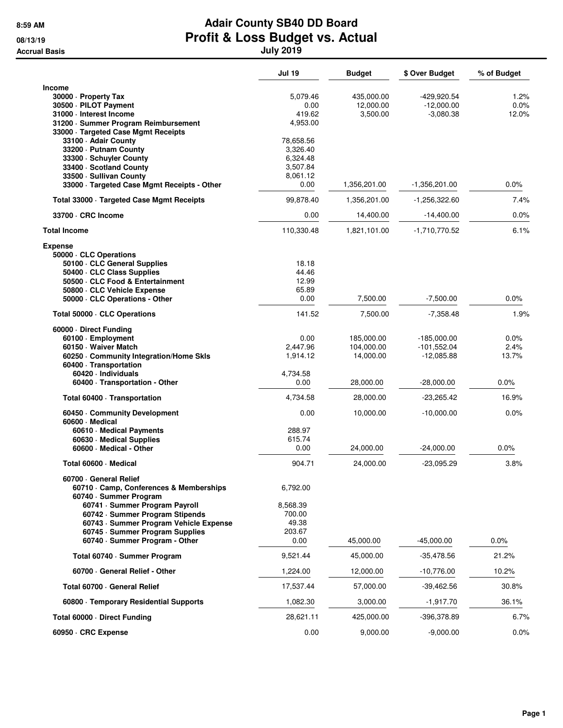|                                                                                                                                                                                  | Jul 19                                                            | <b>Budget</b>                         | \$ Over Budget                                 | % of Budget              |
|----------------------------------------------------------------------------------------------------------------------------------------------------------------------------------|-------------------------------------------------------------------|---------------------------------------|------------------------------------------------|--------------------------|
| <b>Income</b><br>30000 · Property Tax<br>30500 · PILOT Payment                                                                                                                   | 5,079.46<br>0.00                                                  | 435,000.00<br>12,000.00               | -429,920.54<br>$-12,000.00$                    | 1.2%<br>0.0%             |
| 31000 · Interest Income<br>31200 · Summer Program Reimbursement<br>33000 · Targeted Case Mgmt Receipts                                                                           | 419.62<br>4,953.00                                                | 3,500.00                              | $-3,080.38$                                    | 12.0%                    |
| 33100 - Adair County<br>33200 - Putnam County<br>33300 · Schuyler County<br>33400 · Scotland County<br>33500 · Sullivan County<br>33000 · Targeted Case Mgmt Receipts - Other    | 78,658.56<br>3,326.40<br>6,324.48<br>3,507.84<br>8,061.12<br>0.00 | 1,356,201.00                          | $-1,356,201.00$                                | 0.0%                     |
| Total 33000 · Targeted Case Mgmt Receipts                                                                                                                                        | 99,878.40                                                         | 1,356,201.00                          | -1,256,322.60                                  | 7.4%                     |
| 33700 · CRC Income                                                                                                                                                               | 0.00                                                              | 14,400.00                             | $-14,400.00$                                   | 0.0%                     |
| <b>Total Income</b>                                                                                                                                                              | 110,330.48                                                        | 1,821,101.00                          | $-1,710,770.52$                                | 6.1%                     |
| <b>Expense</b><br>50000 · CLC Operations<br>50100 · CLC General Supplies<br>50400 CLC Class Supplies<br>50500 CLC Food & Entertainment<br>50800 CLC Vehicle Expense              | 18.18<br>44.46<br>12.99<br>65.89                                  |                                       |                                                |                          |
| 50000 · CLC Operations - Other                                                                                                                                                   | 0.00                                                              | 7,500.00                              | $-7,500.00$                                    | 0.0%                     |
| Total 50000 · CLC Operations                                                                                                                                                     | 141.52                                                            | 7,500.00                              | $-7,358.48$                                    | 1.9%                     |
| 60000 Direct Funding<br>60100 · Employment<br>60150 Waiver Match<br>60250 Community Integration/Home Skls<br>60400 · Transportation                                              | 0.00<br>2,447.96<br>1,914.12                                      | 185,000.00<br>104,000.00<br>14,000.00 | $-185,000.00$<br>$-101,552.04$<br>$-12,085.88$ | $0.0\%$<br>2.4%<br>13.7% |
| 60420 · Individuals<br>60400 · Transportation - Other                                                                                                                            | 4,734.58<br>0.00                                                  | 28,000.00                             | $-28,000.00$                                   | 0.0%                     |
| Total 60400 · Transportation                                                                                                                                                     | 4,734.58                                                          | 28,000.00                             | $-23,265.42$                                   | 16.9%                    |
| 60450 Community Development                                                                                                                                                      | 0.00                                                              | 10,000.00                             | $-10,000.00$                                   | 0.0%                     |
| 60600 - Medical<br>60610 · Medical Payments<br>60630 · Medical Supplies<br>60600 · Medical - Other                                                                               | 288.97<br>615.74<br>0.00                                          | 24,000.00                             | $-24,000.00$                                   | 0.0%                     |
| Total 60600 · Medical                                                                                                                                                            | 904.71                                                            | 24,000.00                             | $-23,095.29$                                   | 3.8%                     |
| 60700 General Relief<br>60710 Camp, Conferences & Memberships<br>60740 · Summer Program                                                                                          | 6,792.00                                                          |                                       |                                                |                          |
| 60741 - Summer Program Payroll<br>60742 · Summer Program Stipends<br>60743 · Summer Program Vehicle Expense<br>60745 · Summer Program Supplies<br>60740 · Summer Program - Other | 8,568.39<br>700.00<br>49.38<br>203.67<br>0.00                     | 45,000.00                             | $-45,000.00$                                   | $0.0\%$                  |
|                                                                                                                                                                                  |                                                                   |                                       |                                                |                          |
| Total 60740 · Summer Program                                                                                                                                                     | 9,521.44                                                          | 45,000.00                             | $-35,478.56$                                   | 21.2%                    |
| 60700 General Relief - Other                                                                                                                                                     | 1,224.00                                                          | 12,000.00                             | $-10,776.00$                                   | 10.2%                    |
| Total 60700 General Relief                                                                                                                                                       | 17,537.44                                                         | 57,000.00                             | $-39,462.56$                                   | 30.8%                    |
| 60800 · Temporary Residential Supports                                                                                                                                           | 1,082.30                                                          | 3,000.00                              | $-1,917.70$                                    | 36.1%                    |
| Total 60000 · Direct Funding                                                                                                                                                     | 28,621.11                                                         | 425,000.00                            | -396,378.89                                    | $6.7\%$                  |
| 60950 · CRC Expense                                                                                                                                                              | 0.00                                                              | 9,000.00                              | $-9,000.00$                                    | 0.0%                     |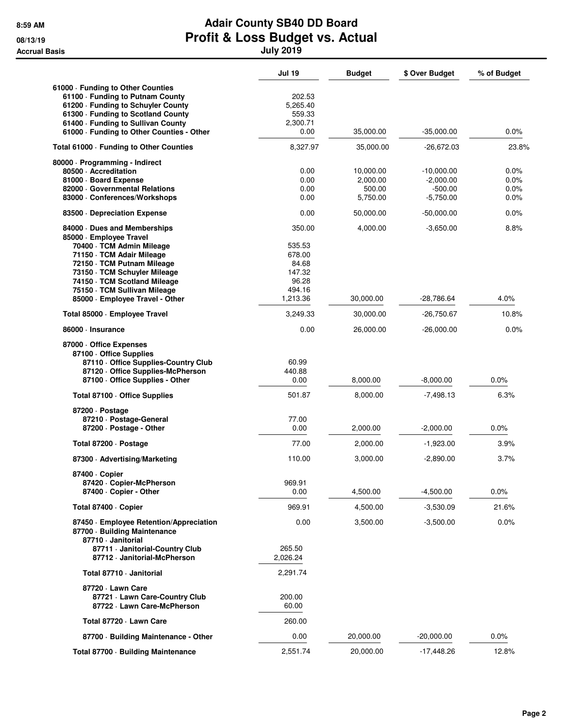|                                                                                               | <b>Jul 19</b>  | <b>Budget</b>      | \$ Over Budget           | % of Budget  |
|-----------------------------------------------------------------------------------------------|----------------|--------------------|--------------------------|--------------|
| 61000 · Funding to Other Counties                                                             |                |                    |                          |              |
| 61100 · Funding to Putnam County                                                              | 202.53         |                    |                          |              |
| 61200 · Funding to Schuyler County                                                            | 5,265.40       |                    |                          |              |
| 61300 - Funding to Scotland County                                                            | 559.33         |                    |                          |              |
| 61400 - Funding to Sullivan County                                                            | 2.300.71       |                    |                          |              |
| 61000 · Funding to Other Counties - Other                                                     | 0.00           | 35,000.00          | $-35,000.00$             | 0.0%         |
| Total 61000 · Funding to Other Counties                                                       | 8,327.97       | 35,000.00          | -26,672.03               | 23.8%        |
| 80000 · Programming - Indirect                                                                |                |                    |                          |              |
| 80500 Accreditation                                                                           | 0.00           | 10,000.00          | $-10,000.00$             | 0.0%         |
| 81000 · Board Expense                                                                         | 0.00           | 2,000.00           | $-2,000.00$              | 0.0%         |
| 82000 Governmental Relations<br>83000 - Conferences/Workshops                                 | 0.00<br>0.00   | 500.00<br>5,750.00 | $-500.00$<br>$-5.750.00$ | 0.0%<br>0.0% |
| 83500 Depreciation Expense                                                                    | 0.00           | 50,000.00          | $-50,000.00$             | 0.0%         |
| 84000 Dues and Memberships                                                                    | 350.00         | 4,000.00           | $-3,650.00$              | 8.8%         |
| 85000 · Employee Travel                                                                       |                |                    |                          |              |
| 70400 · TCM Admin Mileage                                                                     | 535.53         |                    |                          |              |
| 71150 · TCM Adair Mileage                                                                     | 678.00         |                    |                          |              |
| 72150 · TCM Putnam Mileage                                                                    | 84.68          |                    |                          |              |
| 73150 · TCM Schuyler Mileage                                                                  | 147.32         |                    |                          |              |
| 74150 · TCM Scotland Mileage                                                                  | 96.28          |                    |                          |              |
| 75150 · TCM Sullivan Mileage                                                                  | 494.16         |                    |                          |              |
| 85000 · Employee Travel - Other                                                               | 1,213.36       | 30,000.00          | $-28,786.64$             | 4.0%         |
| Total 85000 · Employee Travel                                                                 | 3,249.33       | 30,000.00          | $-26,750.67$             | 10.8%        |
| 86000 · Insurance                                                                             | 0.00           | 26,000.00          | $-26,000.00$             | 0.0%         |
| 87000 Office Expenses                                                                         |                |                    |                          |              |
| 87100 Office Supplies                                                                         |                |                    |                          |              |
| 87110 Office Supplies-Country Club                                                            | 60.99          |                    |                          |              |
| 87120 Office Supplies-McPherson                                                               | 440.88         |                    |                          |              |
| 87100 - Office Supplies - Other                                                               | 0.00           | 8,000.00           | $-8,000.00$              | 0.0%         |
| Total 87100 · Office Supplies                                                                 | 501.87         | 8,000.00           | $-7,498.13$              | 6.3%         |
| 87200 Dostage                                                                                 |                |                    |                          |              |
| 87210 · Postage-General                                                                       | 77.00          |                    |                          |              |
| 87200 · Postage - Other                                                                       | 0.00           | 2,000.00           | $-2,000.00$              | 0.0%         |
| Total 87200 · Postage                                                                         | 77.00          | 2,000.00           | $-1,923.00$              | 3.9%         |
| 87300 Advertising/Marketing                                                                   | 110.00         | 3,000.00           | $-2,890.00$              | 3.7%         |
| 87400 · Copier                                                                                |                |                    |                          |              |
| 87420 - Copier-McPherson                                                                      | 969.91<br>0.00 | 4,500.00           | $-4,500.00$              | 0.0%         |
| 87400 · Copier - Other                                                                        |                |                    |                          |              |
| Total 87400 · Copier                                                                          | 969.91         | 4,500.00           | $-3,530.09$              | 21.6%        |
| 87450 · Employee Retention/Appreciation<br>87700 · Building Maintenance<br>87710 · Janitorial | 0.00           | 3,500.00           | $-3,500.00$              | 0.0%         |
| 87711 · Janitorial-Country Club                                                               | 265.50         |                    |                          |              |
| 87712 · Janitorial-McPherson                                                                  | 2,026.24       |                    |                          |              |
| Total 87710 · Janitorial                                                                      | 2,291.74       |                    |                          |              |
| 87720 · Lawn Care                                                                             |                |                    |                          |              |
| 87721 - Lawn Care-Country Club                                                                | 200.00         |                    |                          |              |
| 87722 · Lawn Care-McPherson                                                                   | 60.00          |                    |                          |              |
| Total 87720 - Lawn Care                                                                       | 260.00         |                    |                          |              |
| 87700 · Building Maintenance - Other                                                          | 0.00           | 20,000.00          | $-20,000.00$             | 0.0%         |
| Total 87700 · Building Maintenance                                                            | 2,551.74       | 20,000.00          | $-17,448.26$             | 12.8%        |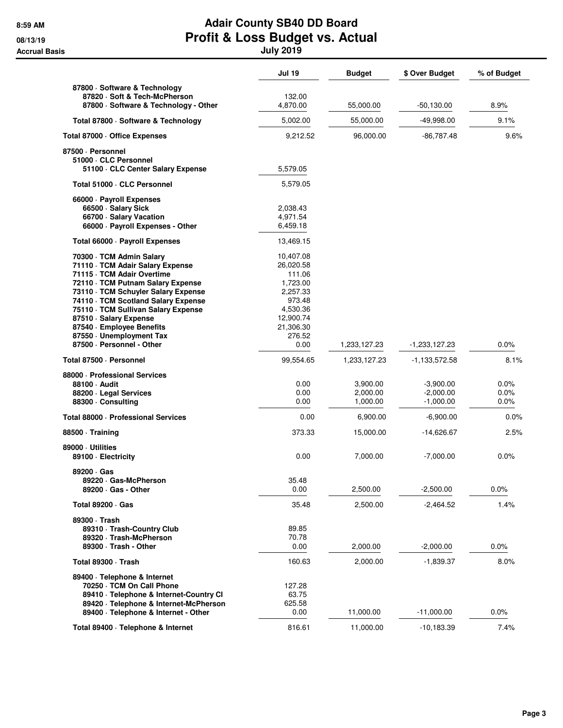|                                                                                | <b>Jul 19</b>        | <b>Budget</b>        | \$ Over Budget             | % of Budget     |
|--------------------------------------------------------------------------------|----------------------|----------------------|----------------------------|-----------------|
| 87800 · Software & Technology                                                  |                      |                      |                            |                 |
| 87820 · Soft & Tech-McPherson                                                  | 132.00               |                      |                            |                 |
| 87800 · Software & Technology - Other                                          | 4,870.00             | 55,000.00            | $-50,130.00$               | 8.9%            |
| Total 87800 · Software & Technology                                            | 5,002.00             | 55,000.00            | $-49,998.00$               | 9.1%            |
| Total 87000 · Office Expenses                                                  | 9,212.52             | 96,000.00            | -86,787.48                 | 9.6%            |
| 87500 · Personnel                                                              |                      |                      |                            |                 |
| 51000 · CLC Personnel                                                          |                      |                      |                            |                 |
| 51100 · CLC Center Salary Expense                                              | 5,579.05             |                      |                            |                 |
| Total 51000 · CLC Personnel                                                    | 5,579.05             |                      |                            |                 |
| 66000 · Payroll Expenses                                                       |                      |                      |                            |                 |
| 66500 · Salary Sick                                                            | 2,038.43             |                      |                            |                 |
| 66700 · Salary Vacation<br>66000 · Payroll Expenses - Other                    | 4,971.54<br>6,459.18 |                      |                            |                 |
|                                                                                |                      |                      |                            |                 |
| Total 66000 · Payroll Expenses                                                 | 13,469.15            |                      |                            |                 |
| 70300 · TCM Admin Salary                                                       | 10,407.08            |                      |                            |                 |
| 71110 · TCM Adair Salary Expense                                               | 26,020.58            |                      |                            |                 |
| 71115 · TCM Adair Overtime<br>72110 · TCM Putnam Salary Expense                | 111.06<br>1,723.00   |                      |                            |                 |
| 73110 · TCM Schuyler Salary Expense                                            | 2,257.33             |                      |                            |                 |
| 74110 · TCM Scotland Salary Expense                                            | 973.48               |                      |                            |                 |
| 75110 · TCM Sullivan Salary Expense                                            | 4,530.36             |                      |                            |                 |
| 87510 · Salary Expense                                                         | 12.900.74            |                      |                            |                 |
| 87540 - Employee Benefits                                                      | 21,306.30            |                      |                            |                 |
| 87550 · Unemployment Tax                                                       | 276.52               |                      |                            |                 |
| 87500 - Personnel - Other                                                      | 0.00                 | 1,233,127.23         | $-1,233,127.23$            | $0.0\%$         |
| Total 87500 · Personnel                                                        | 99,554.65            | 1,233,127.23         | -1,133,572.58              | 8.1%            |
| 88000 · Professional Services                                                  |                      |                      |                            |                 |
| 88100 · Audit                                                                  | 0.00                 | 3,900.00             | $-3,900.00$                | $0.0\%$         |
| 88200 · Legal Services<br>88300 · Consulting                                   | 0.00<br>0.00         | 2,000.00<br>1,000.00 | $-2,000.00$<br>$-1,000.00$ | 0.0%<br>$0.0\%$ |
|                                                                                |                      |                      |                            |                 |
| Total 88000 · Professional Services                                            | 0.00                 | 6,900.00             | $-6,900.00$                | 0.0%            |
| 88500 · Training                                                               | 373.33               | 15,000.00            | $-14,626.67$               | 2.5%            |
| 89000 Utilities                                                                | 0.00                 | 7,000.00             | $-7.000.00$                | 0.0%            |
| 89100 · Electricity                                                            |                      |                      |                            |                 |
| $89200 \cdot Gas$                                                              |                      |                      |                            |                 |
| 89220 · Gas-McPherson                                                          | 35.48                |                      |                            |                 |
| 89200 · Gas - Other                                                            | 0.00                 | 2,500.00             | $-2,500.00$                | 0.0%            |
| <b>Total 89200 · Gas</b>                                                       | 35.48                | 2,500.00             | $-2,464.52$                | 1.4%            |
| 89300 · Trash                                                                  |                      |                      |                            |                 |
| 89310 · Trash-Country Club                                                     | 89.85                |                      |                            |                 |
| 89320 · Trash-McPherson<br>89300 · Trash - Other                               | 70.78                |                      |                            |                 |
|                                                                                | 0.00                 | 2,000.00             | $-2,000.00$                | 0.0%            |
| Total 89300 · Trash                                                            | 160.63               | 2,000.00             | $-1,839.37$                | 8.0%            |
| 89400 · Telephone & Internet                                                   |                      |                      |                            |                 |
| 70250 · TCM On Call Phone                                                      | 127.28               |                      |                            |                 |
| 89410 · Telephone & Internet-Country CI                                        | 63.75                |                      |                            |                 |
| 89420 · Telephone & Internet-McPherson<br>89400 · Telephone & Internet - Other | 625.58               |                      |                            |                 |
|                                                                                | 0.00                 | 11,000.00            | $-11,000.00$               | 0.0%            |
| Total 89400 · Telephone & Internet                                             | 816.61               | 11,000.00            | -10,183.39                 | 7.4%            |